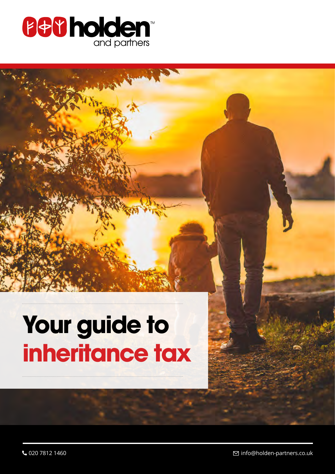

# **Your guide to inheritance tax**

 $\bigcup$  020 7812 1460 info@holden-partners.co.uk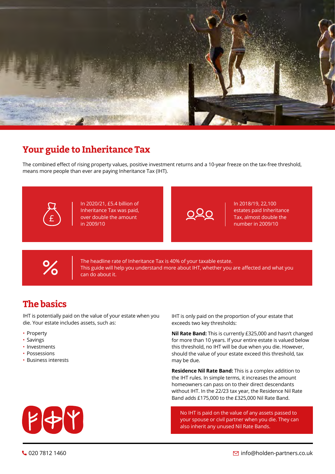

## **Your guide to Inheritance Tax**

The combined effect of rising property values, positive investment returns and a 10-year freeze on the tax-free threshold, means more people than ever are paying Inheritance Tax (IHT).



In 2020/21, £5.4 billion of Inheritance Tax was paid, over double the amount in 2009/10

In 2018/19, 22,100 estates paid Inheritance Tax, almost double the number in 2009/10



The headline rate of Inheritance Tax is 40% of your taxable estate. This guide will help you understand more about IHT, whether you are affected and what you can do about it.

## **The basics**

IHT is potentially paid on the value of your estate when you die. Your estate includes assets, such as:

- Property
- Savings
- Investments
- Possessions
- Business interests

IHT is only paid on the proportion of your estate that exceeds two key thresholds:

**Nil Rate Band:** This is currently £325,000 and hasn't changed for more than 10 years. If your entire estate is valued below this threshold, no IHT will be due when you die. However, should the value of your estate exceed this threshold, tax may be due.

**Residence Nil Rate Band:** This is a complex addition to the IHT rules. In simple terms, it increases the amount homeowners can pass on to their direct descendants without IHT. In the 22/23 tax year, the Residence Nil Rate Band adds £175,000 to the £325,000 Nil Rate Band.

No IHT is paid on the value of any assets passed to your spouse or civil partner when you die. They can also inherit any unused Nil Rate Bands.

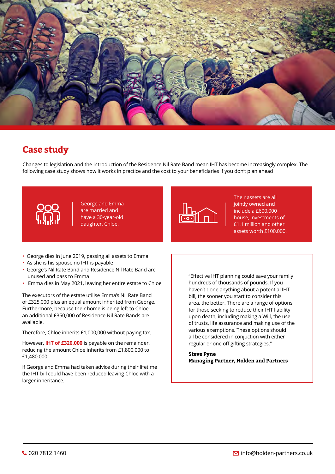

## **Case study**

Changes to legislation and the introduction of the Residence Nil Rate Band mean IHT has become increasingly complex. The following case study shows how it works in practice and the cost to your beneficiaries if you don't plan ahead



George and Emma are married and have a 30-year-old daughter, Chloe.



Their assets are all jointly owned and include a £600,000 house, investments of £1.1 million and other assets worth £100,000.

- George dies in June 2019, passing all assets to Emma
- As she is his spouse no IHT is payable
- George's Nil Rate Band and Residence Nil Rate Band are unused and pass to Emma
- Emma dies in May 2021, leaving her entire estate to Chloe

The executors of the estate utilise Emma's Nil Rate Band of £325,000 plus an equal amount inherited from George. Furthermore, because their home is being left to Chloe an additional £350,000 of Residence Nil Rate Bands are available.

Therefore, Chloe inherits £1,000,000 without paying tax.

However, **IHT of £320,000** is payable on the remainder, reducing the amount Chloe inherits from £1,800,000 to £1,480,000.

If George and Emma had taken advice during their lifetime the IHT bill could have been reduced leaving Chloe with a larger inheritance.

"Effective IHT planning could save your family hundreds of thousands of pounds. If you haven't done anything about a potential IHT bill, the sooner you start to consider this area, the better. There are a range of options for those seeking to reduce their IHT liability upon death, including making a Will, the use of trusts, life assurance and making use of the various exemptions. These options should all be considered in conjuction with either regular or one off gifting strategies."

**Steve Pyne Managing Partner, Holden and Partners**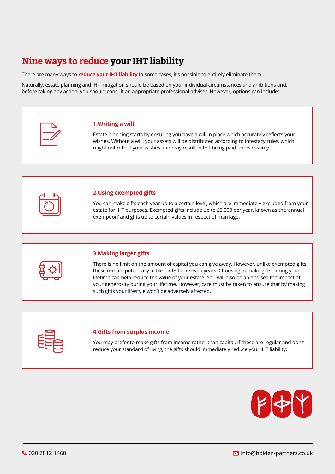## **Nine ways to reduce your IHT liability**

There are many ways to **reduce your IHT liability** In some cases, it's possible to entirely eliminate them.

Naturally, estate planning and IHT mitigation should be based on your individual circumstances and ambitions and, before taking any action, you should consult an appropriate professional adviser. However, options can include:

#### **1.Writing a will**

Estate planning starts by ensuring you have a will in place which accurately reflects your wishes. Without a will, your assets will be distributed according to intestacy rules, which might not reflect your wishes and may result in IHT being paid unnecessarily.



#### **2.Using exempted gifts**

You can make gifts each year up to a certain level, which are immediately excluded from your estate for IHT purposes. Exempted gifts include up to £3,000 per year, known as the 'annual exemption' and gifts up to certain values in respect of marriage.



### **3.Making larger gifts**

There is no limit on the amount of capital you can give away. However, unlike exempted gifts, these remain potentially liable for IHT for seven years. Choosing to make gifts during your lifetime can help reduce the value of your estate. You will also be able to see the impact of your generosity during your lifetime. However, care must be taken to ensure that by making such gifts your lifestyle won't be adversely affected.



#### **4.Gifts from surplus income**

Do get in touch if you would like to find out how Holden & Partners can help you and your family plan a future that is You may prefer to make gifts from income rather than capital. If these are regular and don't reduce your standard of living, the gifts should immediately reduce your IHT liability.

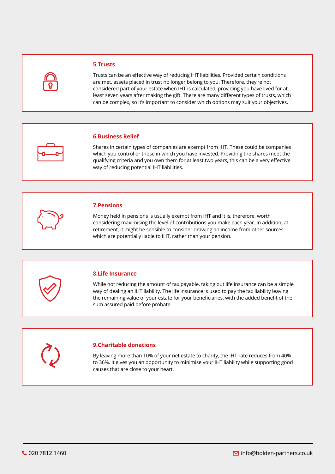

#### **5.Trusts**

Trusts can be an effective way of reducing IHT liabilities. Provided certain conditions are met, assets placed in trust no longer belong to you. Therefore, they're not considered part of your estate when IHT is calculated, providing you have lived for at least seven years after making the gift. There are many different types of trusts, which can be complex, so it's important to consider which options may suit your objectives.



#### **6.Business Relief**

Shares in certain types of companies are exempt from IHT. These could be companies which you control or those in which you have invested. Providing the shares meet the qualifying criteria and you own them for at least two years, this can be a very effective way of reducing potential IHT liabilities.



Money held in pensions is usually exempt from IHT and it is, therefore, worth considering maximising the level of contributions you make each year. In addition, at retirement, it might be sensible to consider drawing an income from other sources which are potentially liable to IHT, rather than your pension.



#### **8.Life Insurance**

While not reducing the amount of tax payable, taking out life insurance can be a simple way of dealing an IHT liability. The life insurance is used to pay the tax liability leaving the remaining value of your estate for your beneficiaries, with the added benefit of the sum assured paid before probate.



By leaving more than 10% of your net estate to charity, the IHT rate reduces from 40%  $\bigcup_{i=1}^n$ to 36%. It gives you an opportunity to minimise your IHT liability while supporting good causes that are close to your heart.